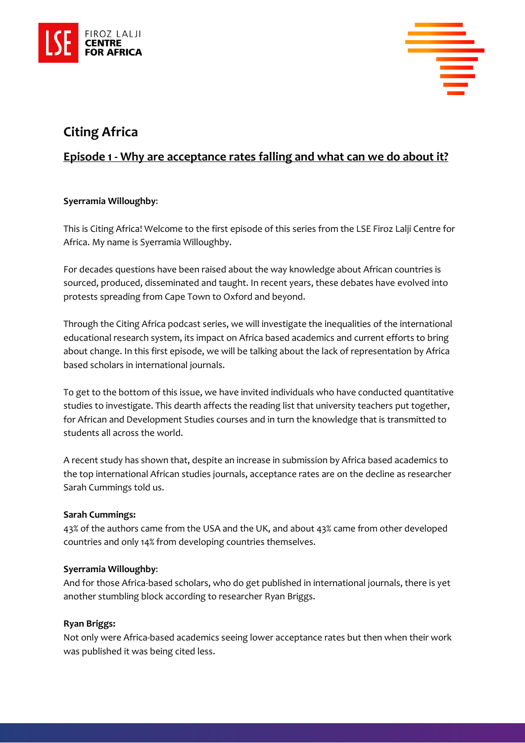



# **Citing Africa**

# **Episode 1 - Why are acceptance rates falling and what can we do about it?**

# **Syerramia Willoughby**:

This is Citing Africa! Welcome to the first episode of this series from the LSE Firoz Lalji Centre for Africa. My name is Syerramia Willoughby.

For decades questions have been raised about the way knowledge about African countries is sourced, produced, disseminated and taught. In recent years, these debates have evolved into protests spreading from Cape Town to Oxford and beyond.

Through the Citing Africa podcast series, we will investigate the inequalities of the international educational research system, its impact on Africa based academics and current efforts to bring about change. In this first episode, we will be talking about the lack of representation by Africa based scholars in international journals.

To get to the bottom of this issue, we have invited individuals who have conducted quantitative studies to investigate. This dearth affects the reading list that university teachers put together, for African and Development Studies courses and in turn the knowledge that is transmitted to students all across the world.

A recent study has shown that, despite an increase in submission by Africa based academics to the top international African studies journals, acceptance rates are on the decline as researcher Sarah Cummings told us.

# **Sarah Cummings:**

43% of the authors came from the USA and the UK, and about 43% came from other developed countries and only 14% from developing countries themselves.

# **Syerramia Willoughby**:

And for those Africa-based scholars, who do get published in international journals, there is yet another stumbling block according to researcher Ryan Briggs.

# **Ryan Briggs:**

Not only were Africa-based academics seeing lower acceptance rates but then when their work was published it was being cited less.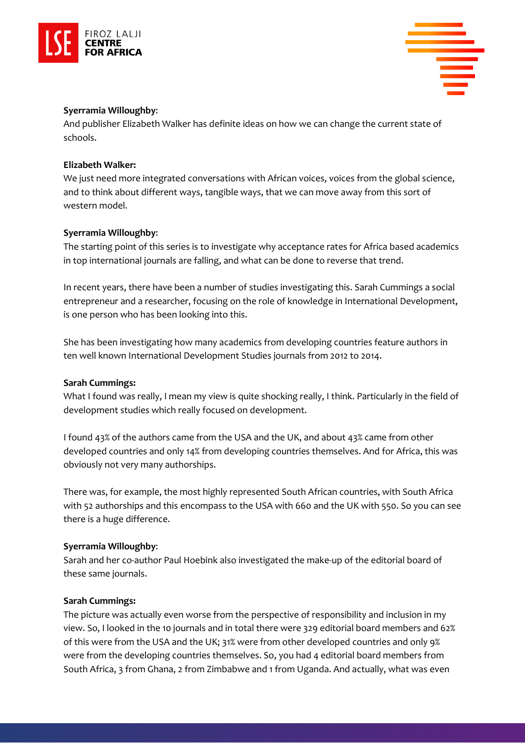



#### **Syerramia Willoughby**:

And publisher Elizabeth Walker has definite ideas on how we can change the current state of schools.

#### **Elizabeth Walker:**

We just need more integrated conversations with African voices, voices from the global science, and to think about different ways, tangible ways, that we can move away from this sort of western model.

#### **Syerramia Willoughby**:

The starting point of this series is to investigate why acceptance rates for Africa based academics in top international journals are falling, and what can be done to reverse that trend.

In recent years, there have been a number of studies investigating this. Sarah Cummings a social entrepreneur and a researcher, focusing on the role of knowledge in International Development, is one person who has been looking into this.

She has been investigating how many academics from developing countries feature authors in ten well known International Development Studies journals from 2012 to 2014.

#### **Sarah Cummings:**

What I found was really, I mean my view is quite shocking really, I think. Particularly in the field of development studies which really focused on development.

I found 43% of the authors came from the USA and the UK, and about 43% came from other developed countries and only 14% from developing countries themselves. And for Africa, this was obviously not very many authorships.

There was, for example, the most highly represented South African countries, with South Africa with 52 authorships and this encompass to the USA with 660 and the UK with 550. So you can see there is a huge difference.

# **Syerramia Willoughby**:

Sarah and her co-author Paul Hoebink also investigated the make-up of the editorial board of these same journals.

# **Sarah Cummings:**

The picture was actually even worse from the perspective of responsibility and inclusion in my view. So, I looked in the 10 journals and in total there were 329 editorial board members and 62% of this were from the USA and the UK; 31% were from other developed countries and only 9% were from the developing countries themselves. So, you had 4 editorial board members from South Africa, 3 from Ghana, 2 from Zimbabwe and 1 from Uganda. And actually, what was even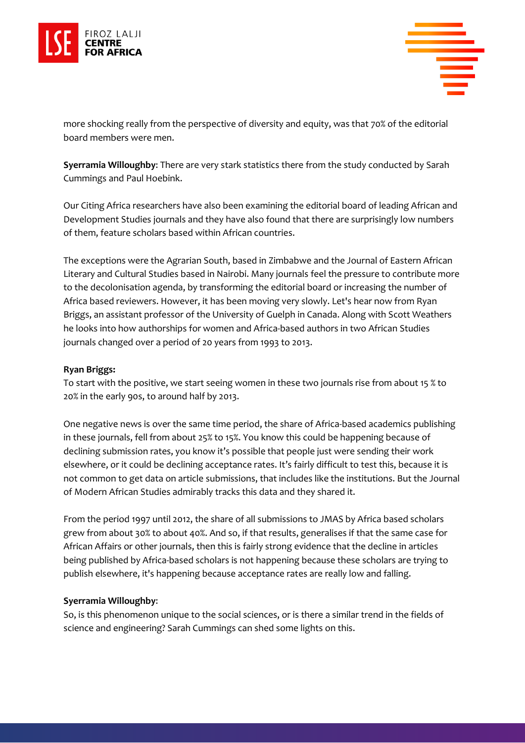



more shocking really from the perspective of diversity and equity, was that 70% of the editorial board members were men.

**Syerramia Willoughby**: There are very stark statistics there from the study conducted by Sarah Cummings and Paul Hoebink.

Our Citing Africa researchers have also been examining the editorial board of leading African and Development Studies journals and they have also found that there are surprisingly low numbers of them, feature scholars based within African countries.

The exceptions were the Agrarian South, based in Zimbabwe and the Journal of Eastern African Literary and Cultural Studies based in Nairobi. Many journals feel the pressure to contribute more to the decolonisation agenda, by transforming the editorial board or increasing the number of Africa based reviewers. However, it has been moving very slowly. Let's hear now from Ryan Briggs, an assistant professor of the University of Guelph in Canada. Along with Scott Weathers he looks into how authorships for women and Africa-based authors in two African Studies journals changed over a period of 20 years from 1993 to 2013.

#### **Ryan Briggs:**

To start with the positive, we start seeing women in these two journals rise from about 15 % to 20% in the early 90s, to around half by 2013.

One negative news is over the same time period, the share of Africa-based academics publishing in these journals, fell from about 25% to 15%. You know this could be happening because of declining submission rates, you know it's possible that people just were sending their work elsewhere, or it could be declining acceptance rates. It's fairly difficult to test this, because it is not common to get data on article submissions, that includes like the institutions. But the Journal of Modern African Studies admirably tracks this data and they shared it.

From the period 1997 until 2012, the share of all submissions to JMAS by Africa based scholars grew from about 30% to about 40%. And so, if that results, generalises if that the same case for African Affairs or other journals, then this is fairly strong evidence that the decline in articles being published by Africa-based scholars is not happening because these scholars are trying to publish elsewhere, it's happening because acceptance rates are really low and falling.

# **Syerramia Willoughby**:

So, is this phenomenon unique to the social sciences, or is there a similar trend in the fields of science and engineering? Sarah Cummings can shed some lights on this.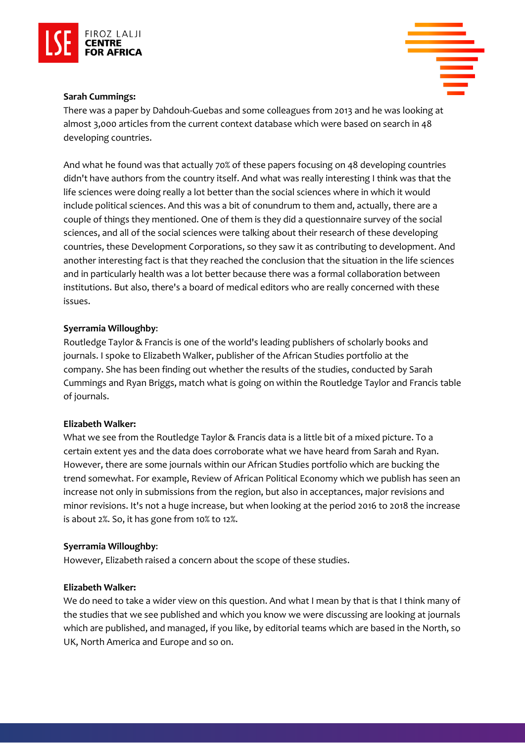



#### **Sarah Cummings:**

There was a paper by Dahdouh-Guebas and some colleagues from 2013 and he was looking at almost 3,000 articles from the current context database which were based on search in 48 developing countries.

And what he found was that actually 70% of these papers focusing on 48 developing countries didn't have authors from the country itself. And what was really interesting I think was that the life sciences were doing really a lot better than the social sciences where in which it would include political sciences. And this was a bit of conundrum to them and, actually, there are a couple of things they mentioned. One of them is they did a questionnaire survey of the social sciences, and all of the social sciences were talking about their research of these developing countries, these Development Corporations, so they saw it as contributing to development. And another interesting fact is that they reached the conclusion that the situation in the life sciences and in particularly health was a lot better because there was a formal collaboration between institutions. But also, there's a board of medical editors who are really concerned with these issues.

#### **Syerramia Willoughby**:

Routledge Taylor & Francis is one of the world's leading publishers of scholarly books and journals. I spoke to Elizabeth Walker, publisher of the African Studies portfolio at the company. She has been finding out whether the results of the studies, conducted by Sarah Cummings and Ryan Briggs, match what is going on within the Routledge Taylor and Francis table of journals.

#### **Elizabeth Walker:**

What we see from the Routledge Taylor & Francis data is a little bit of a mixed picture. To a certain extent yes and the data does corroborate what we have heard from Sarah and Ryan. However, there are some journals within our African Studies portfolio which are bucking the trend somewhat. For example, Review of African Political Economy which we publish has seen an increase not only in submissions from the region, but also in acceptances, major revisions and minor revisions. It's not a huge increase, but when looking at the period 2016 to 2018 the increase is about 2%. So, it has gone from 10% to 12%.

# **Syerramia Willoughby**:

However, Elizabeth raised a concern about the scope of these studies.

#### **Elizabeth Walker:**

We do need to take a wider view on this question. And what I mean by that is that I think many of the studies that we see published and which you know we were discussing are looking at journals which are published, and managed, if you like, by editorial teams which are based in the North, so UK, North America and Europe and so on.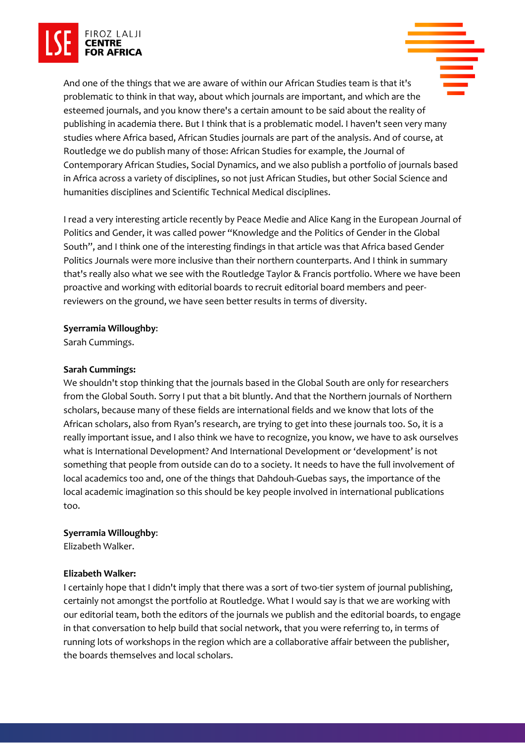

And one of the things that we are aware of within our African Studies team is that it's problematic to think in that way, about which journals are important, and which are the esteemed journals, and you know there's a certain amount to be said about the reality of publishing in academia there. But I think that is a problematic model. I haven't seen very many studies where Africa based, African Studies journals are part of the analysis. And of course, at Routledge we do publish many of those: African Studies for example, the Journal of Contemporary African Studies, Social Dynamics, and we also publish a portfolio of journals based in Africa across a variety of disciplines, so not just African Studies, but other Social Science and humanities disciplines and Scientific Technical Medical disciplines.

I read a very interesting article recently by Peace Medie and Alice Kang in the European Journal of Politics and Gender, it was called power "Knowledge and the Politics of Gender in the Global South", and I think one of the interesting findings in that article was that Africa based Gender Politics Journals were more inclusive than their northern counterparts. And I think in summary that's really also what we see with the Routledge Taylor & Francis portfolio. Where we have been proactive and working with editorial boards to recruit editorial board members and peerreviewers on the ground, we have seen better results in terms of diversity.

# **Syerramia Willoughby**:

Sarah Cummings.

# **Sarah Cummings:**

We shouldn't stop thinking that the journals based in the Global South are only for researchers from the Global South. Sorry I put that a bit bluntly. And that the Northern journals of Northern scholars, because many of these fields are international fields and we know that lots of the African scholars, also from Ryan's research, are trying to get into these journals too. So, it is a really important issue, and I also think we have to recognize, you know, we have to ask ourselves what is International Development? And International Development or 'development' is not something that people from outside can do to a society. It needs to have the full involvement of local academics too and, one of the things that Dahdouh-Guebas says, the importance of the local academic imagination so this should be key people involved in international publications too.

# **Syerramia Willoughby**:

Elizabeth Walker.

# **Elizabeth Walker:**

I certainly hope that I didn't imply that there was a sort of two-tier system of journal publishing, certainly not amongst the portfolio at Routledge. What I would say is that we are working with our editorial team, both the editors of the journals we publish and the editorial boards, to engage in that conversation to help build that social network, that you were referring to, in terms of running lots of workshops in the region which are a collaborative affair between the publisher, the boards themselves and local scholars.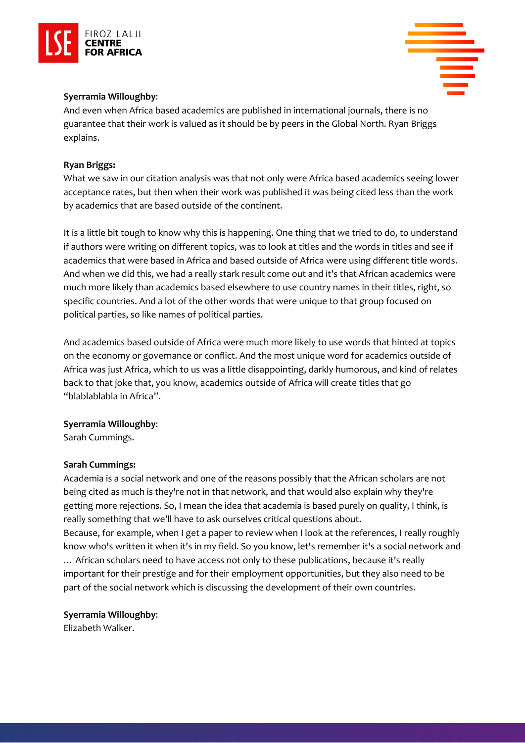



# **Syerramia Willoughby**:

And even when Africa based academics are published in international journals, there is no guarantee that their work is valued as it should be by peers in the Global North. Ryan Briggs explains.

# **Ryan Briggs:**

What we saw in our citation analysis was that not only were Africa based academics seeing lower acceptance rates, but then when their work was published it was being cited less than the work by academics that are based outside of the continent.

It is a little bit tough to know why this is happening. One thing that we tried to do, to understand if authors were writing on different topics, was to look at titles and the words in titles and see if academics that were based in Africa and based outside of Africa were using different title words. And when we did this, we had a really stark result come out and it's that African academics were much more likely than academics based elsewhere to use country names in their titles, right, so specific countries. And a lot of the other words that were unique to that group focused on political parties, so like names of political parties.

And academics based outside of Africa were much more likely to use words that hinted at topics on the economy or governance or conflict. And the most unique word for academics outside of Africa was just Africa, which to us was a little disappointing, darkly humorous, and kind of relates back to that joke that, you know, academics outside of Africa will create titles that go "blablablabla in Africa".

# **Syerramia Willoughby**:

Sarah Cummings.

# **Sarah Cummings:**

Academia is a social network and one of the reasons possibly that the African scholars are not being cited as much is they're not in that network, and that would also explain why they're getting more rejections. So, I mean the idea that academia is based purely on quality, I think, is really something that we'll have to ask ourselves critical questions about. Because, for example, when I get a paper to review when I look at the references, I really roughly

know who's written it when it's in my field. So you know, let's remember it's a social network and … African scholars need to have access not only to these publications, because it's really important for their prestige and for their employment opportunities, but they also need to be part of the social network which is discussing the development of their own countries.

# **Syerramia Willoughby**:

Elizabeth Walker.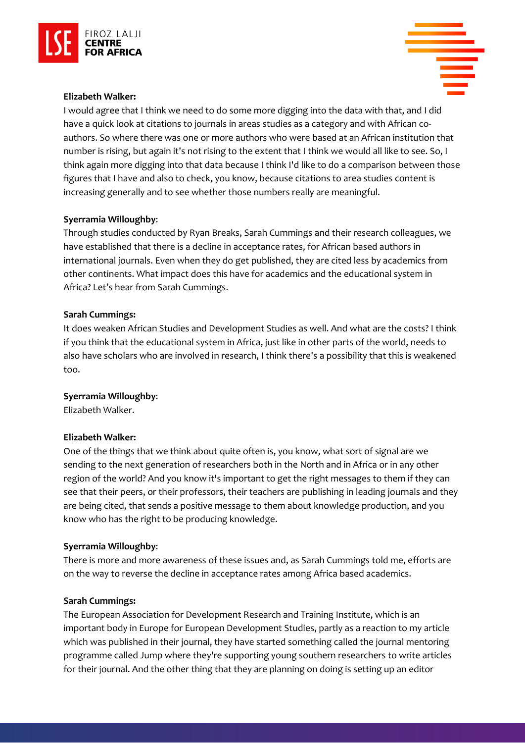

#### **Elizabeth Walker:**

I would agree that I think we need to do some more digging into the data with that, and I did have a quick look at citations to journals in areas studies as a category and with African coauthors. So where there was one or more authors who were based at an African institution that number is rising, but again it's not rising to the extent that I think we would all like to see. So, I think again more digging into that data because I think I'd like to do a comparison between those figures that I have and also to check, you know, because citations to area studies content is increasing generally and to see whether those numbers really are meaningful.

#### **Syerramia Willoughby**:

Through studies conducted by Ryan Breaks, Sarah Cummings and their research colleagues, we have established that there is a decline in acceptance rates, for African based authors in international journals. Even when they do get published, they are cited less by academics from other continents. What impact does this have for academics and the educational system in Africa? Let's hear from Sarah Cummings.

#### **Sarah Cummings:**

It does weaken African Studies and Development Studies as well. And what are the costs? I think if you think that the educational system in Africa, just like in other parts of the world, needs to also have scholars who are involved in research, I think there's a possibility that this is weakened too.

#### **Syerramia Willoughby**:

Elizabeth Walker.

#### **Elizabeth Walker:**

One of the things that we think about quite often is, you know, what sort of signal are we sending to the next generation of researchers both in the North and in Africa or in any other region of the world? And you know it's important to get the right messages to them if they can see that their peers, or their professors, their teachers are publishing in leading journals and they are being cited, that sends a positive message to them about knowledge production, and you know who has the right to be producing knowledge.

#### **Syerramia Willoughby**:

There is more and more awareness of these issues and, as Sarah Cummings told me, efforts are on the way to reverse the decline in acceptance rates among Africa based academics.

#### **Sarah Cummings:**

The European Association for Development Research and Training Institute, which is an important body in Europe for European Development Studies, partly as a reaction to my article which was published in their journal, they have started something called the journal mentoring programme called Jump where they're supporting young southern researchers to write articles for their journal. And the other thing that they are planning on doing is setting up an editor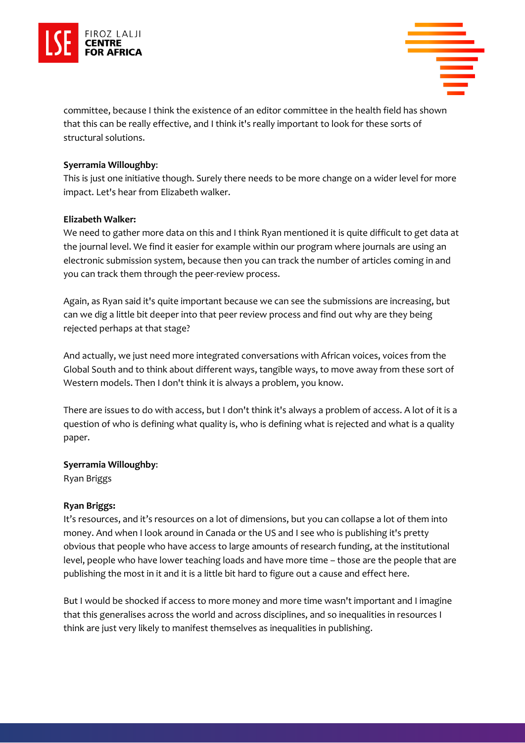



committee, because I think the existence of an editor committee in the health field has shown that this can be really effective, and I think it's really important to look for these sorts of structural solutions.

# **Syerramia Willoughby**:

This is just one initiative though. Surely there needs to be more change on a wider level for more impact. Let's hear from Elizabeth walker.

# **Elizabeth Walker:**

We need to gather more data on this and I think Ryan mentioned it is quite difficult to get data at the journal level. We find it easier for example within our program where journals are using an electronic submission system, because then you can track the number of articles coming in and you can track them through the peer-review process.

Again, as Ryan said it's quite important because we can see the submissions are increasing, but can we dig a little bit deeper into that peer review process and find out why are they being rejected perhaps at that stage?

And actually, we just need more integrated conversations with African voices, voices from the Global South and to think about different ways, tangible ways, to move away from these sort of Western models. Then I don't think it is always a problem, you know.

There are issues to do with access, but I don't think it's always a problem of access. A lot of it is a question of who is defining what quality is, who is defining what is rejected and what is a quality paper.

# **Syerramia Willoughby**:

Ryan Briggs

# **Ryan Briggs:**

It's resources, and it's resources on a lot of dimensions, but you can collapse a lot of them into money. And when I look around in Canada or the US and I see who is publishing it's pretty obvious that people who have access to large amounts of research funding, at the institutional level, people who have lower teaching loads and have more time – those are the people that are publishing the most in it and it is a little bit hard to figure out a cause and effect here.

But I would be shocked if access to more money and more time wasn't important and I imagine that this generalises across the world and across disciplines, and so inequalities in resources I think are just very likely to manifest themselves as inequalities in publishing.